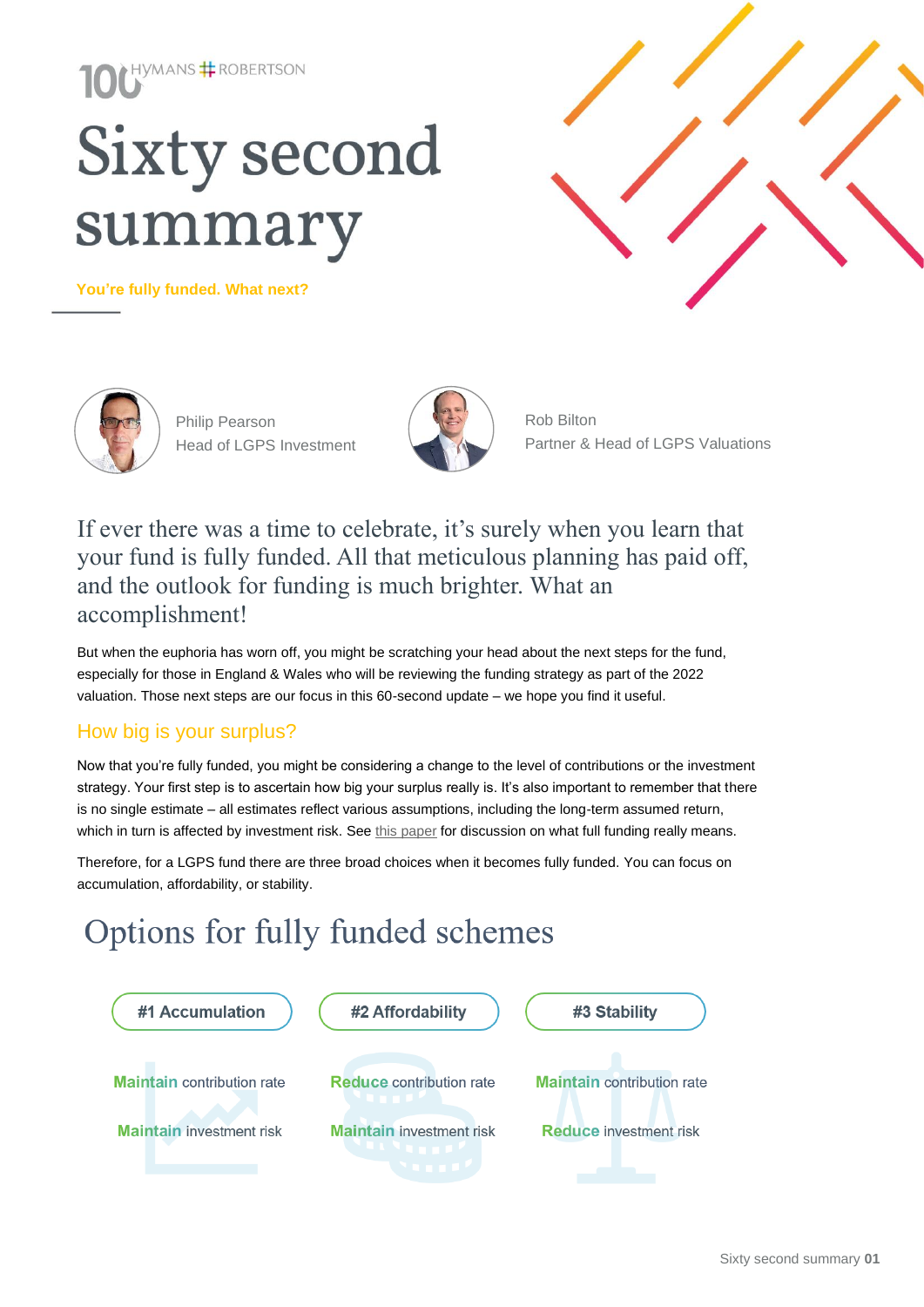# HYMANS **#** ROBERTSON **Sixty second** summary

**You're fully funded. What next?** 





Philip Pearson Head of LGPS Investment



Partner & Head of LGPS Valuations Rob Bilton

### If ever there was a time to celebrate, it's surely when you learn that your fund is fully funded. All that meticulous planning has paid off, and the outlook for funding is much brighter. What an accomplishment!

But when the euphoria has worn off, you might be scratching your head about the next steps for the fund, especially for those in England & Wales who will be reviewing the funding strategy as part of the 2022 valuation. Those next steps are our focus in this 60-second update – we hope you find it useful.

### How big is your surplus?

Now that you're fully funded, you might be considering a change to the level of contributions or the investment strategy. Your first step is to ascertain how big your surplus really is. It's also important to remember that there is no single estimate – all estimates reflect various assumptions, including the long-term assumed return, which in turn is affected by investment risk. Se[e this paper](https://www.hymans.co.uk/insights/research-and-publications/publication/will-the-lgps-be-100-funded-at-the-next-valuation/) for discussion on what full funding really means.

Therefore, for a LGPS fund there are three broad choices when it becomes fully funded. You can focus on accumulation, affordability, or stability.

## Options for fully funded schemes